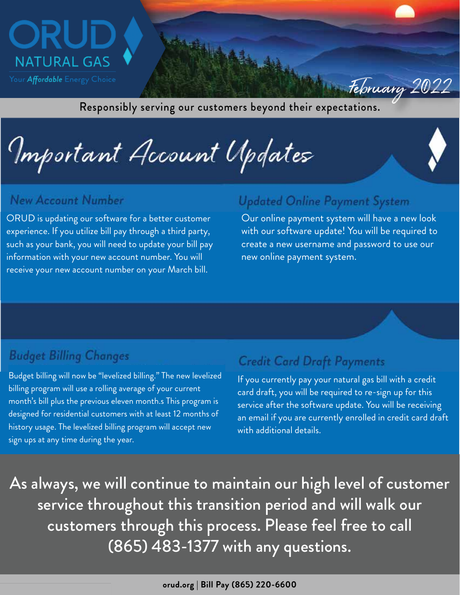

Responsibly serving our customers beyond their expectations.

Important Account Updates

#### **New Account Number**

ORUD is updating our software for a better customer experience. If you utilize bill pay through a third party, such as your bank, you will need to update your bill pay information with your new account number. You will receive your new account number on your March bill.

### **Updated Online Payment System**

Our online payment system will have a new look with our software update! You will be required to create a new username and password to use our new online payment system.

February 2022

#### **Budget Billing Changes**

Budget billing will now be "levelized billing." The new levelized billing program will use a rolling average of your current month's bill plus the previous eleven month.s This program is designed for residential customers with at least 12 months of history usage. The levelized billing program will accept new sign ups at any time during the year.

### **Credit Card Draft Payments**

an email if you are currently enrolled in credit card draft<br>and their collections in the set of their states in the state of the state of the state of the state of the st If you currently pay your natural gas bill with a credit card draft, you will be required to re-sign up for this service after the software update. You will be receiving with additional details.

As always, we will continue to maintain our high level of customer service throughout this transition period and will walk our customers through this process. Please feel free to call (865) 483-1377 with any questions.